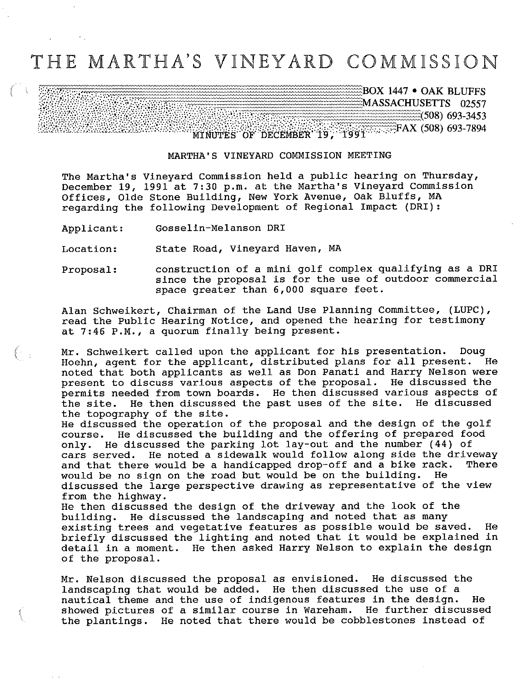## THE MARTHA'S VINEYARD COMMISSION

^BOX 1447 • OAK BLUFFS ^MASSACHUSETTS 02557  $\frac{1}{2}$  (508) 693-3453 MINUTES OF DECEMBER 19, 1991 SAME RAX (508) 693-7894

## MARTHA'S VINEYARD COMMISSION MEETING

The Martha's Vineyard Commission held a public hearing on Thursday, December 19, 1991 at 7:30 p.m. at the Martha's Vineyard Commission Offices, Olde Stone Building, New York Avenue/ Oak Bluffs, MA regarding the following Development of Regional Impact (DRI):

Applicant: Gosselin-Melanson DRI

 $\left(\begin{array}{cc} \cdots & \cdots \end{array}\right)$ 

Location: State Road, Vineyard Haven, MA

Proposal: construction of a mini golf complex qualifying as a DRI since the proposal is for the use of outdoor commercial space greater than 6,000 square feet.

Alan Schweikert, Chairman of the Land Use Planning Committee, (LUPC), read the Public Hearing Notice, and opened the hearing for testimony at 7:46 P.M./ a quorum finally being present.

Mr. Schweikert called upon the applicant for his presentation. Doug Hoehn, agent for the applicant, distributed plans for all present. He noted that both applicants as well as Don Panati and Harry Nelson were present to discuss various aspects of the proposal. He discussed the permits needed from town boards. He then discussed various aspects of the site. He then discussed the past uses of the site. He discussed the topography of the site.

He discussed the operation of the proposal and the design of the golf course. He discussed the building and the offering of prepared food only. He discussed the parking lot lay-out and the number (44) of cars served. He noted a sidewalk would follow along side the driveway and that there would be a handicapped drop-off and a bike rack. There would be no sign on the road but would be on the building. He discussed the large perspective drawing as representative of the view from the highway.

He then discussed the design of the driveway and the look of the building. He discussed the landscaping and noted that as many existing trees and vegetative features as possible would be saved. He briefly discussed the lighting and noted that it would be explained in detail in a moment. He then asked Harry Nelson to explain the design of the proposal.

Mr. Nelson discussed the proposal as envisioned. He discussed the landscaping that would be added. He then discussed the use of a nautical theme and the use of indigenous features in the design. He showed pictures of a similar course in Wareham. He further discussed the plantings. He noted that there would be cobblestones instead of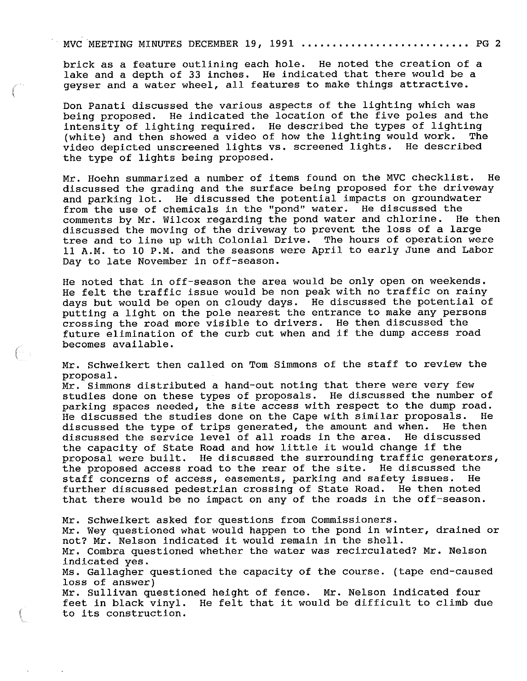## MVC MEETING MINUTES DECEMBER 19, 1991 .......................... PG 2

brick as a feature outlining each hole. He noted the creation of a lake and a depth of 33 inches. He indicated that there would be a geyser and a water wheel, all features to make things attractive.

Don Panati discussed the various aspects of the lighting which was being proposed. He indicated the location of the five poles and the intensity of lighting required. He described the types of lighting<br>(white) and then showed a video of how the lighting would work. The (white) and then showed a video of how the lighting would work. video depicted unscreened lights vs. screened lights. He described the type of lights being proposed.

Mr. Hoehn summarized a number of items found on the MVC checklist. He discussed the grading and the surface being proposed for the driveway and parking lot. He discussed the potential impacts on groundwater from the use of chemicals in the "pond" water. He discussed the<br>comments by Mr. Wilcox regarding the pond water and chlorine. He then comments by Mr. Wilcox regarding the pond water and chlorine. discussed the moving of the driveway to prevent the loss of a large tree and to line up with Colonial Drive. The hours of operation were 11 A.M. to 10 P.M. and the seasons were April to early June and Labor Day to late November in off-season.

He noted that in off-season the area would be only open on weekends. He felt the traffic issue would be non peak with no traffic on rainy days but would be open on cloudy days. He discussed the potential of putting a light on the pole nearest the entrance to make any persons crossing the road more visible to drivers. He then discussed the future elimination of the curb cut when and if the dump access road becomes available.

Mr. Schweikert then called on Tom Simmons of the staff to review the proposal.

Mr. Simmons distributed a hand-out noting that there were very few studies done on these types of proposals. He discussed the number of parking spaces needed, the site access with respect to the dump road.<br>He discussed the studies done on the Cape with similar proposals. He He discussed the studies done on the Cape with similar proposals. He discussed the type of trips generated, the amount and when. He then discussed the type of trips generated, the amount and when. He then<br>discussed the service level of all roads in the area. He discussed discussed the service level of all roads in the area. the capacity of State Road and how little it would change if the proposal were built. He discussed the surrounding traffic generators, the proposed access road to the rear of the site. He discussed the staff concerns of access, easements, parking and safety issues. He staff concerns of access, easements, parking and safety issues. further discussed pedestrian crossing of State Road. He then noted that there would be no impact on any of the roads in the off-season.

Mr. Schweikert asked for questions from Commissioners.

Mr. Wey questioned what would happen to the pond in winter, drained or not? Mr. Nelson indicated it would remain in the shell.

Mr. Combra questioned whether the water was recirculated? Mr. Nelson indicated yes.

Ms. Gallagher questioned the capacity of the course, (tape end-caused loss of answer)

Mr. Sullivan questioned height of fence. Mr. Nelson indicated four feet in black vinyl. He felt that it would be difficult to climb due to its construction.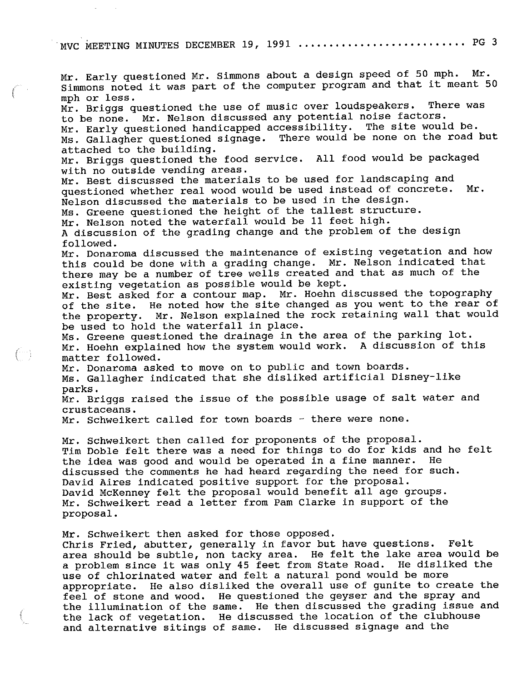MVC MEETING MINUTES DECEMBER 19, 1991 ........................... PG 3

Mr. Early questioned Mr. Simmons about a design speed of 50 mph. Mr. Simmons noted it was part of the computer program and that it meant 50 mph or less. Mr. Briggs questioned the use of music over loudspeakers. There was to be none. Mr. Nelson discussed any potential noise factors. Mr. Early questioned handicapped accessibility. The site would be. Ms. Gallagher questioned signage. There would be none on the road but attached to the building. Mr. Briggs questioned the food service. All food would be packaged with no outside vending areas. Mr. Best discussed the materials to be used for landscaping and questioned whether real wood would be used instead of concrete. Mr. Nelson discussed the materials to be used in the design. Ms. Greene questioned the height of the tallest structure. Mr. Nelson noted the waterfall would be 11 feet high. A discussion of the grading change and the problem of the design followed. Mr. Donaroma discussed the maintenance of existing vegetation and how this could be done with a grading change. Mr. Nelson indicated that there may be a number of tree wells created and that as much of the existing vegetation as possible would be kept. Mr. Best asked for a contour map. Mr. Hoehn discussed the topography of the site. He noted how the site changed as you went to the rear of the property. Mr. Nelson explained the rock retaining wall that would be used to hold the waterfall in place. Ms. Greene questioned the drainage in the area of the parking lot. Mr. Hoehn explained how the system would work. A discussion of this matter followed. Mr. Donaroma asked to move on to public and town boards. Ms. Gallagher indicated that she disliked artificial Disney-like parks. Mr. Briggs raised the issue of the possible usage of salt water and crustaceans. Mr. Schweikert called for town boards - there were none. Mr. Schweikert then called for proponents of the proposal. Tim Doble felt there was a need for things to do for kids and he felt<br>the idea was good and would be operated in a fine manner. He the idea was good and would be operated in a fine manner. discussed the comments he had heard regarding the need for such. David Aires indicated positive support for the proposal. David McKenney felt the proposal would benefit all age groups. Mr. Schweikert read a letter from Pam Clarke in support of the proposal. Mr. Schweikert then asked for those opposed. Chris Fried, abutter, generally in favor but have questions. Felt area should be subtle, non tacky area. He felt the lake area would be a problem since it was only 45 feet from State Road. He disliked the use of chlorinated water and felt a natural pond would be more appropriate. He also disliked the overall use of gunite to create the feel of stone and wood. He questioned the geyser and the spray and the illumination of the same. He then discussed the grading issue and

 $(\mathbb{T})$ 

the lack of vegetation. He discussed the location of the clubhouse

and alternative sitings of same. He discussed signage and the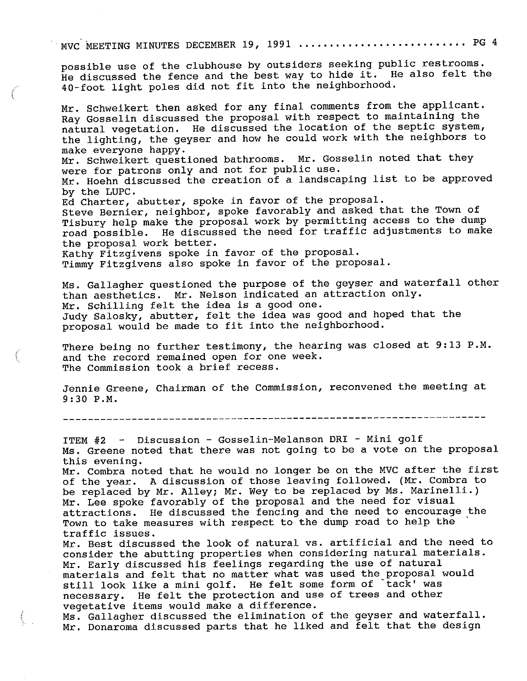MVC MEETING MINUTES DECEMBER 19, 1991 ........................... PG 4

possible use of the clubhouse by outsiders seeking public restrooms. He discussed the fence and the best way to hide  $i\bar{t}$ . He also felt the 40-foot light poles did not fit into the neighborhood.

Mr. Schweikert then asked for any final comments from the applicant. Ray Gosselin discussed the proposal with respect to maintaining the natural vegetation. He discussed the location of the septic system, the lighting, the geyser and how he could work with the neighbors to make everyone happy.

Mr. Schweikert questioned bathrooms. Mr. Gosselin noted that they were for patrons only and not for public use.

Mr. Hoehn discussed the creation of a landscaping list to be approved by the LUPC.

Ed Charter, abutter, spoke in favor of the proposal. Steve Bernier, neighbor, spoke favorably and asked that the Town of Tisbury help make the proposal work by permitting access to the dump road possible. He discussed the need for traffic adjustments to make

the proposal work better.

Kathy Fitzgivens spoke in favor of the proposal.

Timmy Fitzgivens also spoke in favor of the proposal.

Ms. Gallagher questioned the purpose of the geyser and waterfall other than aesthetics. Mr. Nelson indicated an attraction only. Mr. Schilling felt the idea is a good one. Judy Salosky, abutter, felt the idea was good and hoped that the proposal would be made to fit into the neighborhood.

There being no further testimony, the hearing was closed at 9:13 P.M. and the record remained open for one week. The Commission took a brief recess.

Jennie Greene, Chairman of the Commission, reconvened the meeting at 9:30 P.M.

ITEM #2 - Discussion - Gosselin-Melanson DRI - Mini golf Ms. Greene noted that there was not going to be a vote on the proposal this evening.

Mr. Combra noted that he would no longer be on the MVC after the first of the year. A discussion of those leaving followed. (Mr. Combra to be replaced by Mr. Alley; Mr. Wey to be replaced by Ms. Marinelli.) Mr. Lee spoke favorably of the proposal and the need for visual attractions. He discussed the fencing and the need to encourage the Town to take measures with respect to the dump road to help the traffic issues.

Mr. Best discussed the look of natural vs. artificial and the need to consider the abutting properties when considering natural materials. Mr. Early discussed his feelings regarding the use of natural materials and felt that no matter what was used the proposal would still look like a mini golf. He felt some form of `tack' was necessary. He felt the protection and use of trees and other vegetative items would make a difference.

Ms. Gallagher discussed the elimination of the geyser and waterfall. Mr. Donaroma discussed parts that he liked and felt that the design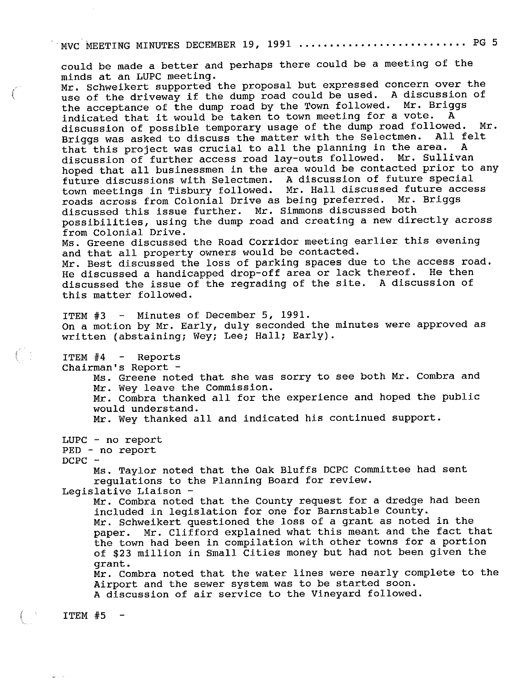MVC MEETING MINUTES DECEMBER 19, 1991 ........................... PG 5

could be made a better and perhaps there could be a meeting of the minds at an LUPC meeting. Mr. Schweikert supported the proposal but expressed concern over the use of the driveway if the dump road could be used. A discussion of the acceptance of the dump road by the Town followed. Mr. Briggs indicated that it would be taken to town meeting for a vote. discussion of possible temporary usage of the dump road followed. Mr.<br>Briggs was asked to discuss the matter with the Selectmen. All felt Briggs was asked to discuss the matter with the Selectmen. All fertile that the project was crucial to all the planning in the area. A that this project was crucial to all the planning in the area. discussion of further access road lay-outs followed. Mr. Sullivan hoped that all businessmen in the area would be contacted prior to any future discussions with Selectmen. A discussion of future special town meetings in Tisbury followed. Mr. Hall discussed future access<br>roads across from Colonial Drive as being preferred. Mr. Briggs roads across from Colonial Drive as being preferred. discussed this issue further. Mr. Simmons discussed both possibilities, using the dump road and creating a new directly across from Colonial Drive. Ms. Greene discussed the Road Corridor meeting earlier this evening and that all property owners would be contacted. Mr. Best discussed the loss of parking spaces due to the access road. He discussed a handicapped drop-off area or lack thereof. He then discussed the issue of the regrading of the site. A discussion of this matter followed. ITEM  $#3$  - Minutes of December 5, 1991. On a motion by Mr. Early, duly seconded the minutes were approved as written (abstaining; Wey; Lee; Hall; Early). ITEM #4 - Reports Chairman's Report -Ms. Greene noted that she was sorry to see both Mr. Combra and Mr. Wey leave the Commission. Mr. Combra thanked all for the experience and hoped the public would understand. Mr. Wey thanked all and indicated his continued support. LUPC - no report FED - no report DCPC -Ms. Taylor noted that the Oak Bluffs DCPC Committee had sent regulations to the Planning Board for review. Legislative Liaison Mr. Combra noted that the County request for a dredge had been included in legislation for one for Barnstable County. Mr. Schweikert questioned the loss of a grant as noted in the paper. Mr. Clifford explained what this meant and the fact t Mr. Clifford explained what this meant and the fact that the town had been in compilation with other towns for a portion of \$23 million in Small Cities money but had not been given the grant. Mr. Combra noted that the water lines were nearly complete to the Airport and the sewer system was to be started soon.

A discussion of air service to the Vineyard followed.

 $ITEM$  #5 -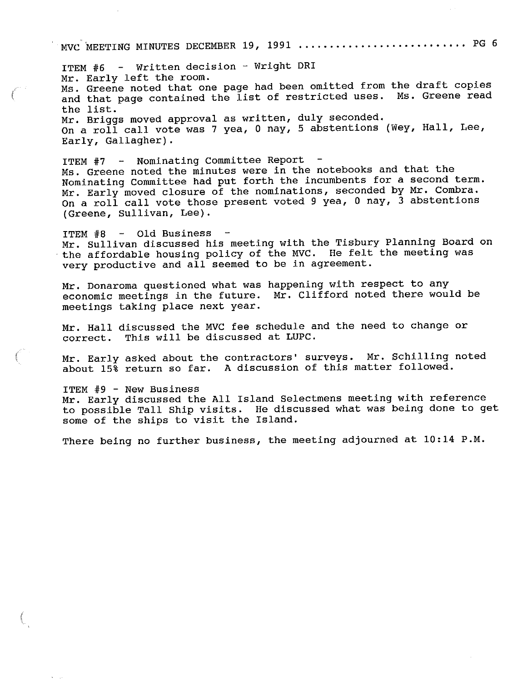MVC MEETING MINUTES DECEMBER 19, 1991 ............................ PG 6

ITEM #6 - Written decision - Wright DRI Mr. Early left the room. Ms. Greene noted that one page had been omitted from the draft copies and that page contained the list of restricted uses. Ms. Greene read the list. Mr. Briggs moved approval as written, duly seconded. On a roll call vote was 7 yea, 0 nay, 5 abstentions (Wey, Hall, Lee, Early, Gallagher).

ITEM #7 - Nominating Committee Report Ms. Greene noted the minutes were in the notebooks and that the Nominating Committee had put forth the incumbents for a second term. Mr. Early moved closure of the nominations, seconded by Mr. Combra. On a roll call vote those present voted 9 yea, 0 nay,  $\bar{3}$  abstentions (Greene, Sullivan, Lee).

ITEM #8 - Old Business Mr. Sullivan discussed his meeting with the Tisbury Planning Board on the affordable housing policy of the MVC. He felt the meeting was very productive and all seemed to be in agreement.

Mr. Donaroma questioned what was happening with respect to any economic meetings in the future. Mr. Clifford noted there would be meetings taking place next year.

Mr. Hall discussed the MVC fee schedule and the need to change or correct. This will be discussed at LUPC.

Mr. Early asked about the contractors' surveys. Mr. Schilling noted about 15% return so far. A discussion of this matter followed.

ITEM #9 - New Business Mr. Early discussed the All Island Selectmens meeting with reference to possible Tall Ship visits. He discussed what was being done to get some of the ships to visit the Island.

There being no further business, the meeting adjourned at  $10:14$  P.M.